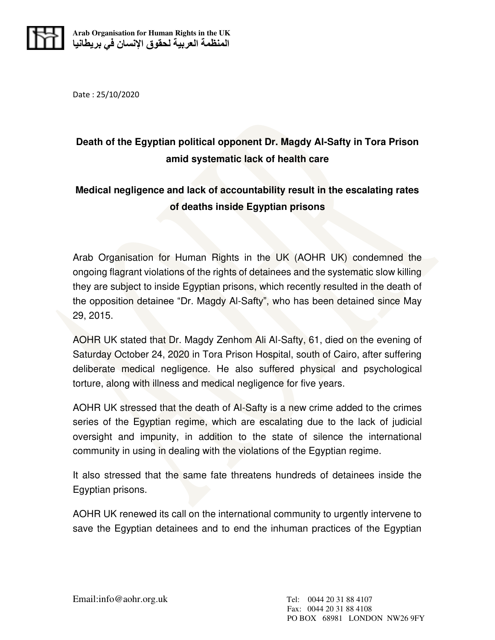

Date : 25/10/2020

## **Death of the Egyptian political opponent Dr. Magdy Al-Safty in Tora Prison amid systematic lack of health care**

## **Medical negligence and lack of accountability result in the escalating rates of deaths inside Egyptian prisons**

Arab Organisation for Human Rights in the UK (AOHR UK) condemned the ongoing flagrant violations of the rights of detainees and the systematic slow killing they are subject to inside Egyptian prisons, which recently resulted in the death of the opposition detainee "Dr. Magdy Al-Safty", who has been detained since May 29, 2015.

AOHR UK stated that Dr. Magdy Zenhom Ali Al-Safty, 61, died on the evening of Saturday October 24, 2020 in Tora Prison Hospital, south of Cairo, after suffering deliberate medical negligence. He also suffered physical and psychological torture, along with illness and medical negligence for five years.

AOHR UK stressed that the death of Al-Safty is a new crime added to the crimes series of the Egyptian regime, which are escalating due to the lack of judicial oversight and impunity, in addition to the state of silence the international community in using in dealing with the violations of the Egyptian regime.

It also stressed that the same fate threatens hundreds of detainees inside the Egyptian prisons.

AOHR UK renewed its call on the international community to urgently intervene to save the Egyptian detainees and to end the inhuman practices of the Egyptian